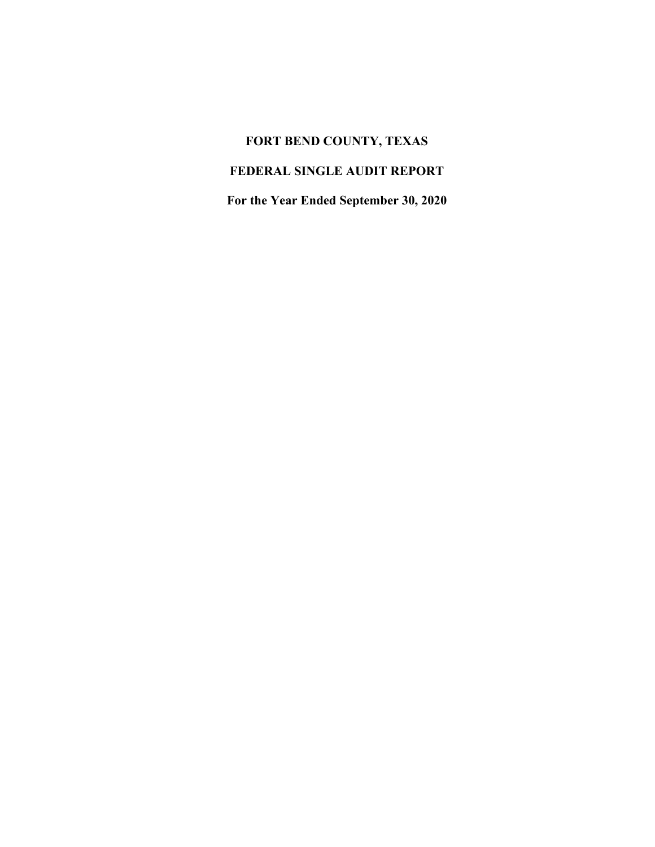# **FORT BEND COUNTY, TEXAS FEDERAL SINGLE AUDIT REPORT**

**For the Year Ended September 30, 2020**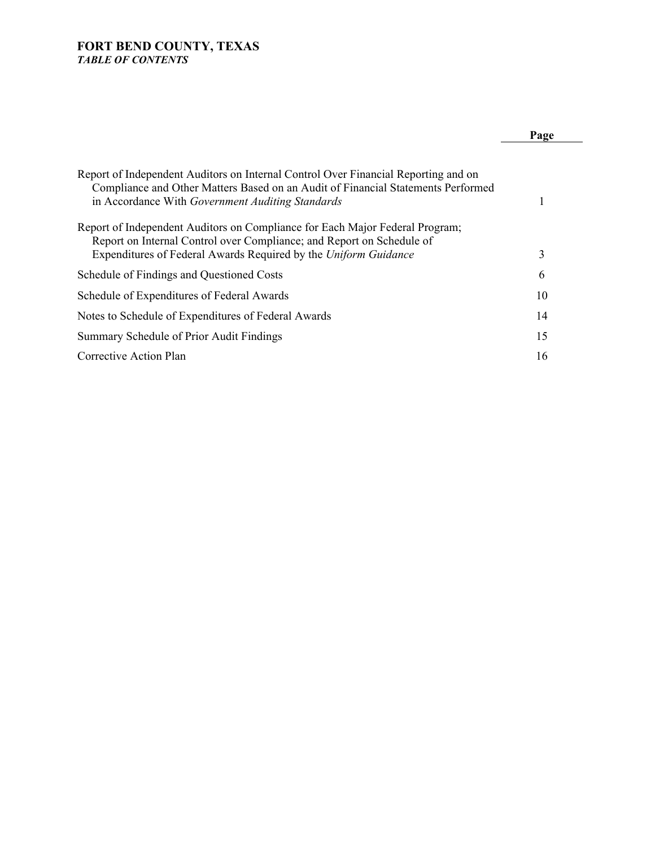# **FORT BEND COUNTY, TEXAS**  *TABLE OF CONTENTS*

# **Page**

| Report of Independent Auditors on Internal Control Over Financial Reporting and on<br>Compliance and Other Matters Based on an Audit of Financial Statements Performed<br>in Accordance With Government Auditing Standards |    |
|----------------------------------------------------------------------------------------------------------------------------------------------------------------------------------------------------------------------------|----|
| Report of Independent Auditors on Compliance for Each Major Federal Program;<br>Report on Internal Control over Compliance; and Report on Schedule of<br>Expenditures of Federal Awards Required by the Uniform Guidance   | 3  |
| Schedule of Findings and Questioned Costs                                                                                                                                                                                  | 6  |
| Schedule of Expenditures of Federal Awards                                                                                                                                                                                 | 10 |
| Notes to Schedule of Expenditures of Federal Awards                                                                                                                                                                        | 14 |
| Summary Schedule of Prior Audit Findings                                                                                                                                                                                   | 15 |
| Corrective Action Plan                                                                                                                                                                                                     | 16 |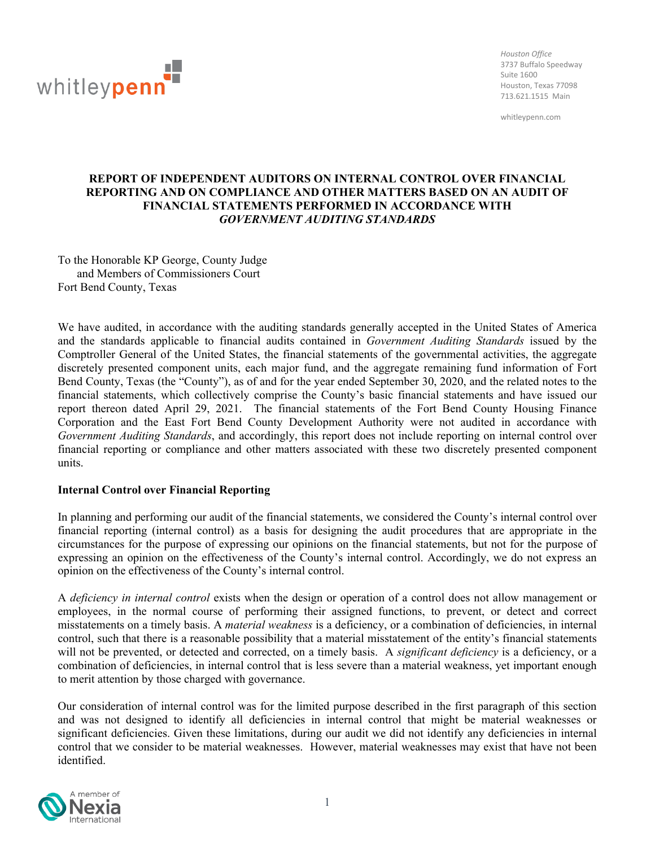

*Houston Office* 3737 Buffalo Speedway Suite 1600 Houston, Texas 77098 713.621.1515 Main

whitleypenn.com

# **REPORT OF INDEPENDENT AUDITORS ON INTERNAL CONTROL OVER FINANCIAL REPORTING AND ON COMPLIANCE AND OTHER MATTERS BASED ON AN AUDIT OF FINANCIAL STATEMENTS PERFORMED IN ACCORDANCE WITH** *GOVERNMENT AUDITING STANDARDS*

To the Honorable KP George, County Judge and Members of Commissioners Court Fort Bend County, Texas

We have audited, in accordance with the auditing standards generally accepted in the United States of America and the standards applicable to financial audits contained in *Government Auditing Standards* issued by the Comptroller General of the United States, the financial statements of the governmental activities, the aggregate discretely presented component units, each major fund, and the aggregate remaining fund information of Fort Bend County, Texas (the "County"), as of and for the year ended September 30, 2020, and the related notes to the financial statements, which collectively comprise the County's basic financial statements and have issued our report thereon dated April 29, 2021. The financial statements of the Fort Bend County Housing Finance Corporation and the East Fort Bend County Development Authority were not audited in accordance with *Government Auditing Standards*, and accordingly, this report does not include reporting on internal control over financial reporting or compliance and other matters associated with these two discretely presented component units.

# **Internal Control over Financial Reporting**

In planning and performing our audit of the financial statements, we considered the County's internal control over financial reporting (internal control) as a basis for designing the audit procedures that are appropriate in the circumstances for the purpose of expressing our opinions on the financial statements, but not for the purpose of expressing an opinion on the effectiveness of the County's internal control. Accordingly, we do not express an opinion on the effectiveness of the County's internal control.

A *deficiency in internal control* exists when the design or operation of a control does not allow management or employees, in the normal course of performing their assigned functions, to prevent, or detect and correct misstatements on a timely basis. A *material weakness* is a deficiency, or a combination of deficiencies, in internal control, such that there is a reasonable possibility that a material misstatement of the entity's financial statements will not be prevented, or detected and corrected, on a timely basis. A *significant deficiency* is a deficiency, or a combination of deficiencies, in internal control that is less severe than a material weakness, yet important enough to merit attention by those charged with governance.

Our consideration of internal control was for the limited purpose described in the first paragraph of this section and was not designed to identify all deficiencies in internal control that might be material weaknesses or significant deficiencies. Given these limitations, during our audit we did not identify any deficiencies in internal control that we consider to be material weaknesses. However, material weaknesses may exist that have not been identified.

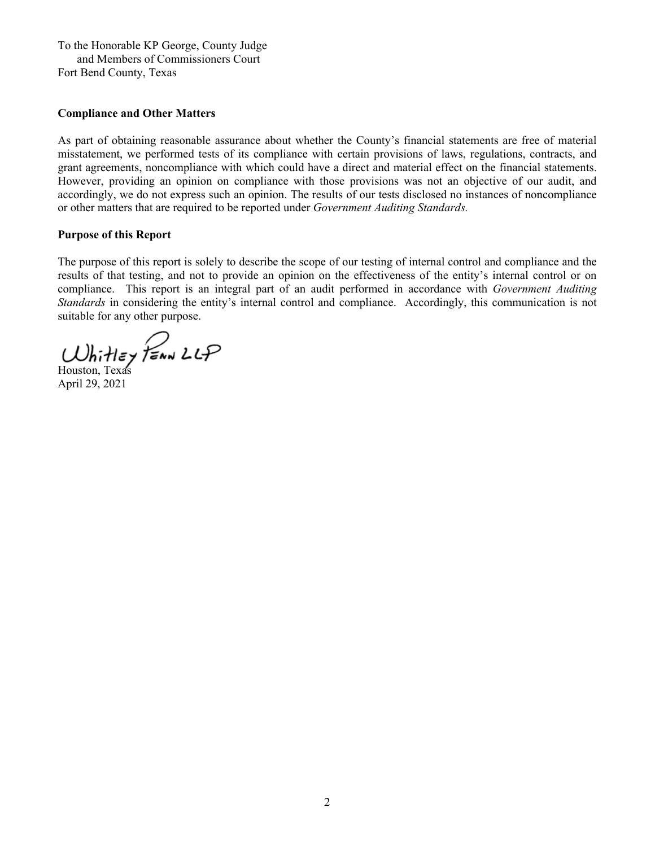To the Honorable KP George, County Judge and Members of Commissioners Court Fort Bend County, Texas

#### **Compliance and Other Matters**

As part of obtaining reasonable assurance about whether the County's financial statements are free of material misstatement, we performed tests of its compliance with certain provisions of laws, regulations, contracts, and grant agreements, noncompliance with which could have a direct and material effect on the financial statements. However, providing an opinion on compliance with those provisions was not an objective of our audit, and accordingly, we do not express such an opinion. The results of our tests disclosed no instances of noncompliance or other matters that are required to be reported under *Government Auditing Standards.* 

#### **Purpose of this Report**

The purpose of this report is solely to describe the scope of our testing of internal control and compliance and the results of that testing, and not to provide an opinion on the effectiveness of the entity's internal control or on compliance. This report is an integral part of an audit performed in accordance with *Government Auditing Standards* in considering the entity's internal control and compliance. Accordingly, this communication is not suitable for any other purpose.

Houston, Texas April 29, 2021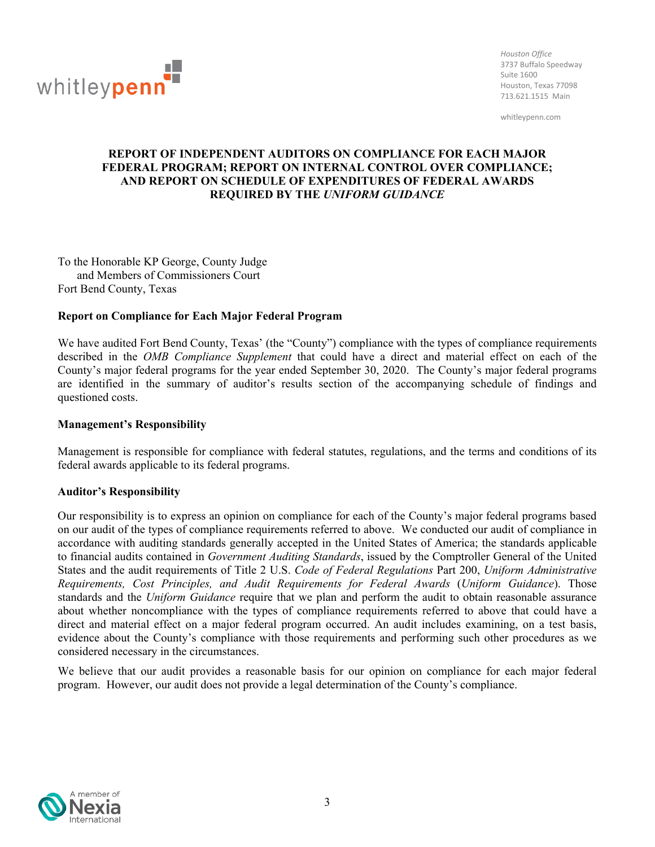

*Houston Office* 3737 Buffalo Speedway Suite 1600 Houston, Texas 77098 713.621.1515 Main

whitleypenn.com

# **REPORT OF INDEPENDENT AUDITORS ON COMPLIANCE FOR EACH MAJOR FEDERAL PROGRAM; REPORT ON INTERNAL CONTROL OVER COMPLIANCE; AND REPORT ON SCHEDULE OF EXPENDITURES OF FEDERAL AWARDS REQUIRED BY THE** *UNIFORM GUIDANCE*

To the Honorable KP George, County Judge and Members of Commissioners Court Fort Bend County, Texas

#### **Report on Compliance for Each Major Federal Program**

We have audited Fort Bend County, Texas' (the "County") compliance with the types of compliance requirements described in the *OMB Compliance Supplement* that could have a direct and material effect on each of the County's major federal programs for the year ended September 30, 2020. The County's major federal programs are identified in the summary of auditor's results section of the accompanying schedule of findings and questioned costs.

#### **Management's Responsibility**

Management is responsible for compliance with federal statutes, regulations, and the terms and conditions of its federal awards applicable to its federal programs.

#### **Auditor's Responsibility**

Our responsibility is to express an opinion on compliance for each of the County's major federal programs based on our audit of the types of compliance requirements referred to above. We conducted our audit of compliance in accordance with auditing standards generally accepted in the United States of America; the standards applicable to financial audits contained in *Government Auditing Standards*, issued by the Comptroller General of the United States and the audit requirements of Title 2 U.S. *Code of Federal Regulations* Part 200, *Uniform Administrative Requirements, Cost Principles, and Audit Requirements for Federal Awards* (*Uniform Guidance*). Those standards and the *Uniform Guidance* require that we plan and perform the audit to obtain reasonable assurance about whether noncompliance with the types of compliance requirements referred to above that could have a direct and material effect on a major federal program occurred. An audit includes examining, on a test basis, evidence about the County's compliance with those requirements and performing such other procedures as we considered necessary in the circumstances.

We believe that our audit provides a reasonable basis for our opinion on compliance for each major federal program. However, our audit does not provide a legal determination of the County's compliance.

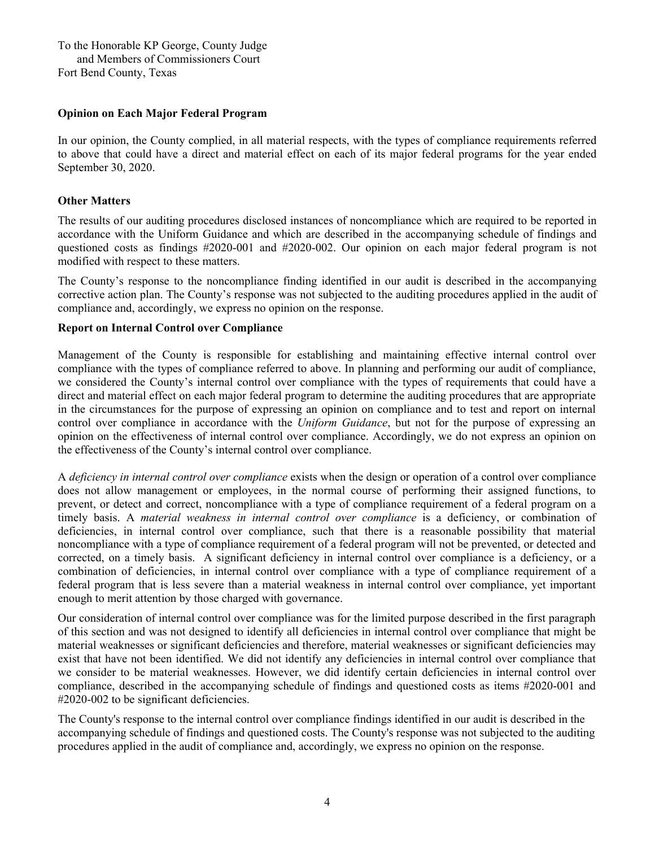To the Honorable KP George, County Judge and Members of Commissioners Court Fort Bend County, Texas

#### **Opinion on Each Major Federal Program**

In our opinion, the County complied, in all material respects, with the types of compliance requirements referred to above that could have a direct and material effect on each of its major federal programs for the year ended September 30, 2020.

## **Other Matters**

The results of our auditing procedures disclosed instances of noncompliance which are required to be reported in accordance with the Uniform Guidance and which are described in the accompanying schedule of findings and questioned costs as findings #2020-001 and #2020-002. Our opinion on each major federal program is not modified with respect to these matters.

The County's response to the noncompliance finding identified in our audit is described in the accompanying corrective action plan. The County's response was not subjected to the auditing procedures applied in the audit of compliance and, accordingly, we express no opinion on the response.

#### **Report on Internal Control over Compliance**

Management of the County is responsible for establishing and maintaining effective internal control over compliance with the types of compliance referred to above. In planning and performing our audit of compliance, we considered the County's internal control over compliance with the types of requirements that could have a direct and material effect on each major federal program to determine the auditing procedures that are appropriate in the circumstances for the purpose of expressing an opinion on compliance and to test and report on internal control over compliance in accordance with the *Uniform Guidance*, but not for the purpose of expressing an opinion on the effectiveness of internal control over compliance. Accordingly, we do not express an opinion on the effectiveness of the County's internal control over compliance.

A *deficiency in internal control over compliance* exists when the design or operation of a control over compliance does not allow management or employees, in the normal course of performing their assigned functions, to prevent, or detect and correct, noncompliance with a type of compliance requirement of a federal program on a timely basis. A *material weakness in internal control over compliance* is a deficiency, or combination of deficiencies, in internal control over compliance, such that there is a reasonable possibility that material noncompliance with a type of compliance requirement of a federal program will not be prevented, or detected and corrected, on a timely basis. A significant deficiency in internal control over compliance is a deficiency, or a combination of deficiencies, in internal control over compliance with a type of compliance requirement of a federal program that is less severe than a material weakness in internal control over compliance, yet important enough to merit attention by those charged with governance.

Our consideration of internal control over compliance was for the limited purpose described in the first paragraph of this section and was not designed to identify all deficiencies in internal control over compliance that might be material weaknesses or significant deficiencies and therefore, material weaknesses or significant deficiencies may exist that have not been identified. We did not identify any deficiencies in internal control over compliance that we consider to be material weaknesses. However, we did identify certain deficiencies in internal control over compliance, described in the accompanying schedule of findings and questioned costs as items #2020-001 and #2020-002 to be significant deficiencies.

The County's response to the internal control over compliance findings identified in our audit is described in the accompanying schedule of findings and questioned costs. The County's response was not subjected to the auditing procedures applied in the audit of compliance and, accordingly, we express no opinion on the response.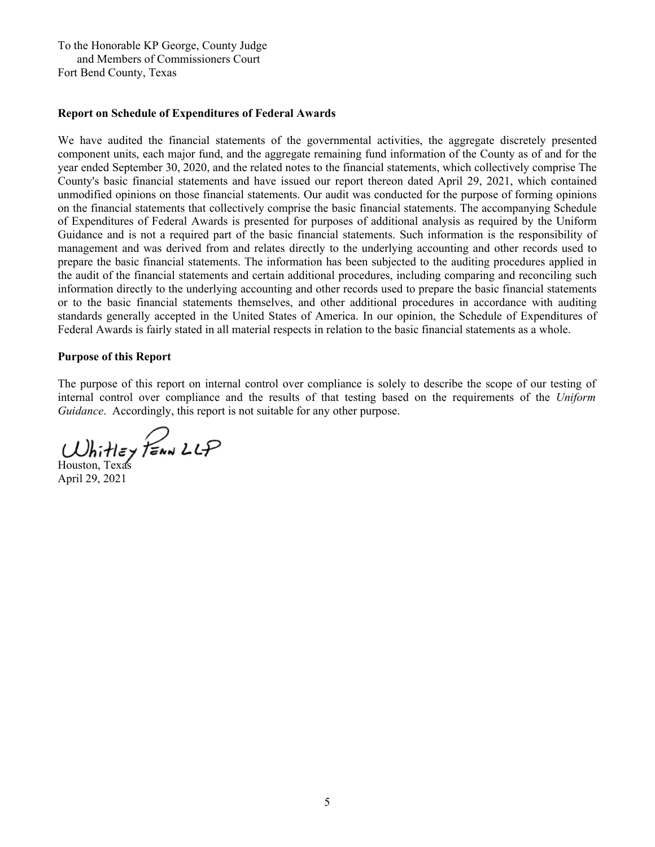To the Honorable KP George, County Judge and Members of Commissioners Court Fort Bend County, Texas

#### **Report on Schedule of Expenditures of Federal Awards**

We have audited the financial statements of the governmental activities, the aggregate discretely presented component units, each major fund, and the aggregate remaining fund information of the County as of and for the year ended September 30, 2020, and the related notes to the financial statements, which collectively comprise The County's basic financial statements and have issued our report thereon dated April 29, 2021, which contained unmodified opinions on those financial statements. Our audit was conducted for the purpose of forming opinions on the financial statements that collectively comprise the basic financial statements. The accompanying Schedule of Expenditures of Federal Awards is presented for purposes of additional analysis as required by the Uniform Guidance and is not a required part of the basic financial statements. Such information is the responsibility of management and was derived from and relates directly to the underlying accounting and other records used to prepare the basic financial statements. The information has been subjected to the auditing procedures applied in the audit of the financial statements and certain additional procedures, including comparing and reconciling such information directly to the underlying accounting and other records used to prepare the basic financial statements or to the basic financial statements themselves, and other additional procedures in accordance with auditing standards generally accepted in the United States of America. In our opinion, the Schedule of Expenditures of Federal Awards is fairly stated in all material respects in relation to the basic financial statements as a whole.

#### **Purpose of this Report**

The purpose of this report on internal control over compliance is solely to describe the scope of our testing of internal control over compliance and the results of that testing based on the requirements of the *Uniform Guidance*. Accordingly, this report is not suitable for any other purpose.

Whitley FENN LLP

April 29, 2021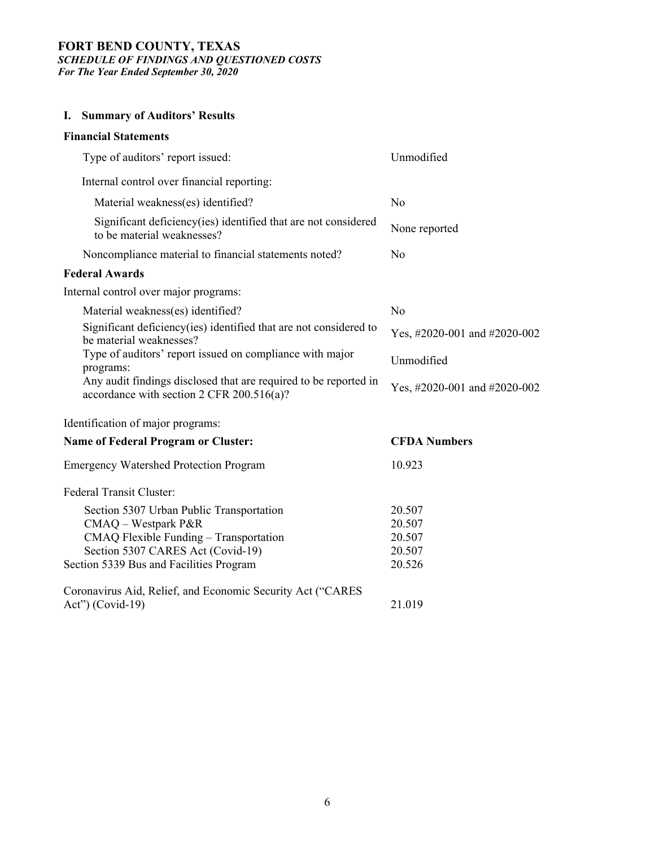#### **FORT BEND COUNTY, TEXAS**  *SCHEDULE OF FINDINGS AND QUESTIONED COSTS For The Year Ended September 30, 2020*

# **I. Summary of Auditors' Results**

# **Financial Statements**

| Type of auditors' report issued:                                                                              | Unmodified                   |
|---------------------------------------------------------------------------------------------------------------|------------------------------|
| Internal control over financial reporting:                                                                    |                              |
| Material weakness(es) identified?                                                                             | N <sub>o</sub>               |
| Significant deficiency(ies) identified that are not considered<br>to be material weaknesses?                  | None reported                |
| Noncompliance material to financial statements noted?                                                         | No                           |
| <b>Federal Awards</b>                                                                                         |                              |
| Internal control over major programs:                                                                         |                              |
| Material weakness(es) identified?                                                                             | N <sub>o</sub>               |
| Significant deficiency(ies) identified that are not considered to<br>be material weaknesses?                  | Yes, #2020-001 and #2020-002 |
| Type of auditors' report issued on compliance with major<br>programs:                                         | Unmodified                   |
| Any audit findings disclosed that are required to be reported in<br>accordance with section 2 CFR 200.516(a)? | Yes, #2020-001 and #2020-002 |
| Identification of major programs:                                                                             |                              |
| <b>Name of Federal Program or Cluster:</b>                                                                    | <b>CFDA Numbers</b>          |
| <b>Emergency Watershed Protection Program</b>                                                                 | 10.923                       |
| Federal Transit Cluster:                                                                                      |                              |
| Section 5307 Urban Public Transportation<br>CMAQ - Westpark P&R<br>CMAQ Flexible Funding - Transportation     | 20.507<br>20.507<br>20.507   |
| Section 5307 CARES Act (Covid-19)<br>Section 5339 Bus and Facilities Program                                  | 20.507<br>20.526             |
|                                                                                                               |                              |
| Coronavirus Aid, Relief, and Economic Security Act ("CARES<br>Act") (Covid-19)                                | 21.019                       |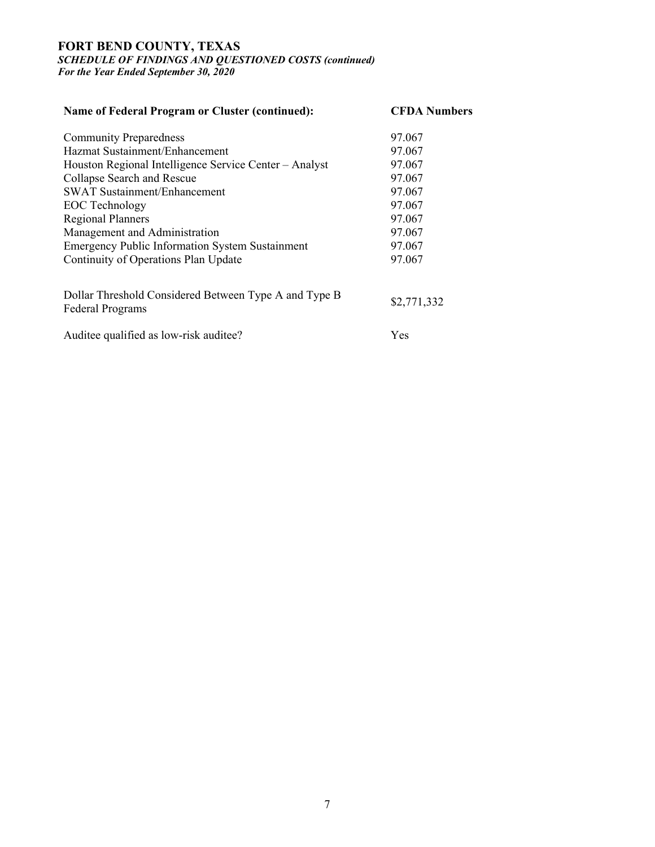# **FORT BEND COUNTY, TEXAS**

#### *SCHEDULE OF FINDINGS AND QUESTIONED COSTS (continued) For the Year Ended September 30, 2020*

| <b>Name of Federal Program or Cluster (continued):</b>                           | <b>CFDA Numbers</b> |
|----------------------------------------------------------------------------------|---------------------|
| <b>Community Preparedness</b>                                                    | 97.067              |
| Hazmat Sustainment/Enhancement                                                   | 97.067              |
| Houston Regional Intelligence Service Center - Analyst                           | 97.067              |
| Collapse Search and Rescue                                                       | 97.067              |
| <b>SWAT Sustainment/Enhancement</b>                                              | 97.067              |
| <b>EOC</b> Technology                                                            | 97.067              |
| <b>Regional Planners</b>                                                         | 97.067              |
| Management and Administration                                                    | 97.067              |
| <b>Emergency Public Information System Sustainment</b>                           | 97.067              |
| Continuity of Operations Plan Update                                             | 97.067              |
| Dollar Threshold Considered Between Type A and Type B<br><b>Federal Programs</b> | \$2,771,332         |
| Auditee qualified as low-risk auditee?                                           | Yes                 |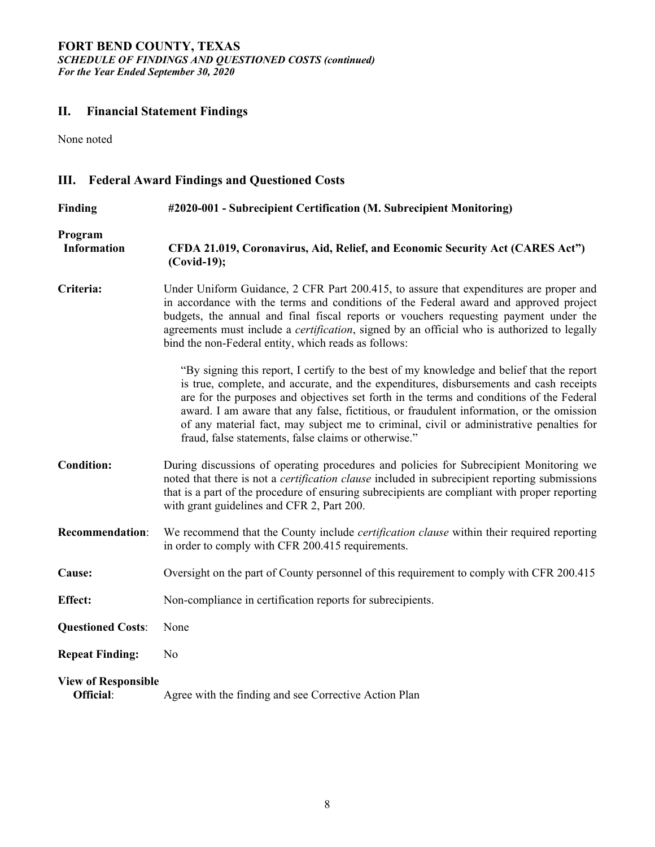# **II. Financial Statement Findings**

None noted

# **III. Federal Award Findings and Questioned Costs**

| Finding                                 | #2020-001 - Subrecipient Certification (M. Subrecipient Monitoring)                                                                                                                                                                                                                                                                                                                                                                                                                                                            |  |  |  |
|-----------------------------------------|--------------------------------------------------------------------------------------------------------------------------------------------------------------------------------------------------------------------------------------------------------------------------------------------------------------------------------------------------------------------------------------------------------------------------------------------------------------------------------------------------------------------------------|--|--|--|
| Program<br><b>Information</b>           | <b>CFDA 21.019, Coronavirus, Aid, Relief, and Economic Security Act (CARES Act")</b><br>$(Covid-19);$                                                                                                                                                                                                                                                                                                                                                                                                                          |  |  |  |
| Criteria:                               | Under Uniform Guidance, 2 CFR Part 200.415, to assure that expenditures are proper and<br>in accordance with the terms and conditions of the Federal award and approved project<br>budgets, the annual and final fiscal reports or vouchers requesting payment under the<br>agreements must include a <i>certification</i> , signed by an official who is authorized to legally<br>bind the non-Federal entity, which reads as follows:                                                                                        |  |  |  |
|                                         | "By signing this report, I certify to the best of my knowledge and belief that the report<br>is true, complete, and accurate, and the expenditures, disbursements and cash receipts<br>are for the purposes and objectives set forth in the terms and conditions of the Federal<br>award. I am aware that any false, fictitious, or fraudulent information, or the omission<br>of any material fact, may subject me to criminal, civil or administrative penalties for<br>fraud, false statements, false claims or otherwise." |  |  |  |
| <b>Condition:</b>                       | During discussions of operating procedures and policies for Subrecipient Monitoring we<br>noted that there is not a <i>certification clause</i> included in subrecipient reporting submissions<br>that is a part of the procedure of ensuring subrecipients are compliant with proper reporting<br>with grant guidelines and CFR 2, Part 200.                                                                                                                                                                                  |  |  |  |
| <b>Recommendation:</b>                  | We recommend that the County include certification clause within their required reporting<br>in order to comply with CFR 200.415 requirements.                                                                                                                                                                                                                                                                                                                                                                                 |  |  |  |
| Cause:                                  | Oversight on the part of County personnel of this requirement to comply with CFR 200.415                                                                                                                                                                                                                                                                                                                                                                                                                                       |  |  |  |
| <b>Effect:</b>                          | Non-compliance in certification reports for subrecipients.                                                                                                                                                                                                                                                                                                                                                                                                                                                                     |  |  |  |
| <b>Questioned Costs:</b>                | None                                                                                                                                                                                                                                                                                                                                                                                                                                                                                                                           |  |  |  |
| <b>Repeat Finding:</b>                  | N <sub>0</sub>                                                                                                                                                                                                                                                                                                                                                                                                                                                                                                                 |  |  |  |
| <b>View of Responsible</b><br>Official: | Agree with the finding and see Corrective Action Plan                                                                                                                                                                                                                                                                                                                                                                                                                                                                          |  |  |  |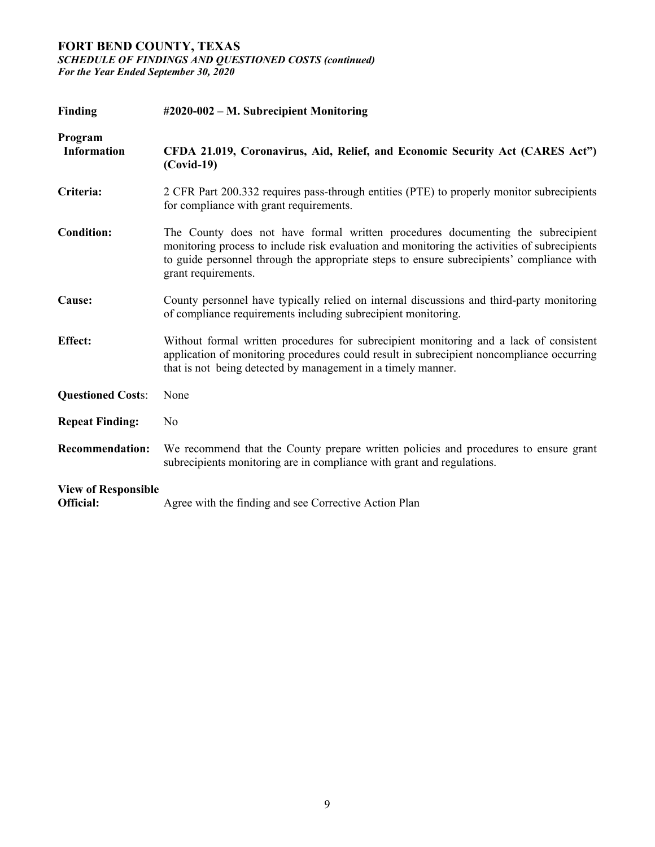#### **FORT BEND COUNTY, TEXAS**  *SCHEDULE OF FINDINGS AND QUESTIONED COSTS (continued) For the Year Ended September 30, 2020*

| Finding                                 | #2020-002 - M. Subrecipient Monitoring                                                                                                                                                                                                                                                              |
|-----------------------------------------|-----------------------------------------------------------------------------------------------------------------------------------------------------------------------------------------------------------------------------------------------------------------------------------------------------|
| Program<br><b>Information</b>           | CFDA 21.019, Coronavirus, Aid, Relief, and Economic Security Act (CARES Act")<br>$(Covid-19)$                                                                                                                                                                                                       |
| Criteria:                               | 2 CFR Part 200.332 requires pass-through entities (PTE) to properly monitor subrecipients<br>for compliance with grant requirements.                                                                                                                                                                |
| <b>Condition:</b>                       | The County does not have formal written procedures documenting the subrecipient<br>monitoring process to include risk evaluation and monitoring the activities of subrecipients<br>to guide personnel through the appropriate steps to ensure subrecipients' compliance with<br>grant requirements. |
| Cause:                                  | County personnel have typically relied on internal discussions and third-party monitoring<br>of compliance requirements including subrecipient monitoring.                                                                                                                                          |
| <b>Effect:</b>                          | Without formal written procedures for subrecipient monitoring and a lack of consistent<br>application of monitoring procedures could result in subrecipient noncompliance occurring<br>that is not being detected by management in a timely manner.                                                 |
| <b>Questioned Costs:</b>                | None                                                                                                                                                                                                                                                                                                |
| <b>Repeat Finding:</b>                  | N <sub>0</sub>                                                                                                                                                                                                                                                                                      |
| <b>Recommendation:</b>                  | We recommend that the County prepare written policies and procedures to ensure grant<br>subrecipients monitoring are in compliance with grant and regulations.                                                                                                                                      |
| <b>View of Responsible</b><br>Official: | Agree with the finding and see Corrective Action Plan                                                                                                                                                                                                                                               |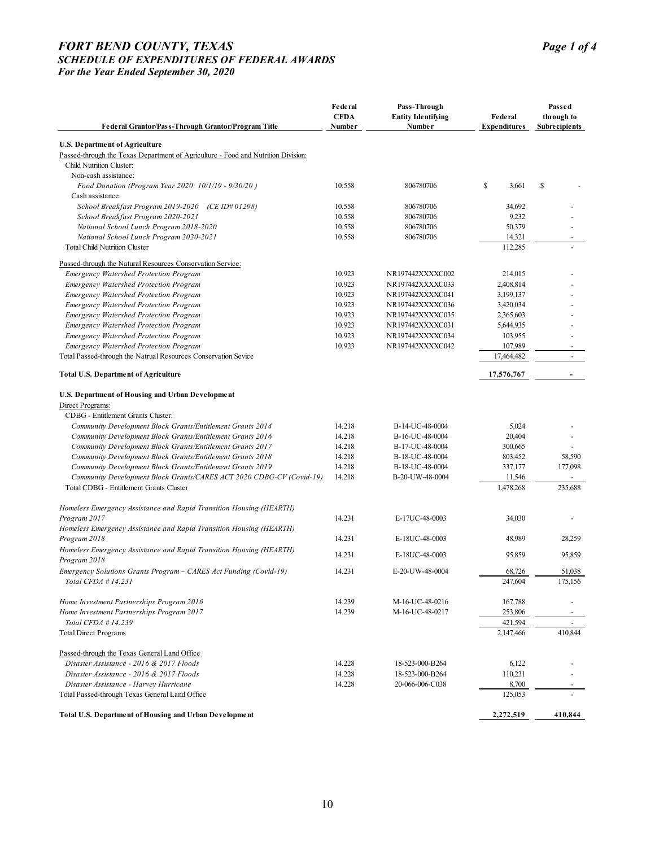# *FORT BEND COUNTY, TEXAS*  $\qquad \qquad$  *Page 1 of 4 SCHEDULE OF EXPENDITURES OF FEDERAL AWARDS For the Year Ended September 30, 2020*

| Federal Grantor/Pass-Through Grantor/Program Title                                                         | Federal<br><b>CFDA</b><br>Number | Pass-Through<br><b>Entity Identifying</b><br>Number | Federal<br><b>Expenditures</b> | Passed<br>through to<br><b>Subrecipients</b> |
|------------------------------------------------------------------------------------------------------------|----------------------------------|-----------------------------------------------------|--------------------------------|----------------------------------------------|
| U.S. Department of Agriculture                                                                             |                                  |                                                     |                                |                                              |
| Passed-through the Texas Department of Agriculture - Food and Nutrition Division:                          |                                  |                                                     |                                |                                              |
| Child Nutrition Cluster:                                                                                   |                                  |                                                     |                                |                                              |
| Non-cash assistance:                                                                                       |                                  |                                                     |                                |                                              |
| Food Donation (Program Year 2020: 10/1/19 - 9/30/20)                                                       | 10.558                           | 806780706                                           | \$<br>3,661                    | \$                                           |
| Cash assistance:                                                                                           |                                  |                                                     |                                |                                              |
| School Breakfast Program 2019-2020 (CE ID#01298)                                                           | 10.558                           | 806780706                                           | 34,692                         |                                              |
| School Breakfast Program 2020-2021                                                                         | 10.558                           | 806780706                                           | 9,232                          |                                              |
| National School Lunch Program 2018-2020                                                                    | 10.558                           | 806780706                                           | 50,379                         |                                              |
| National School Lunch Program 2020-2021                                                                    | 10.558                           | 806780706                                           | 14,321                         |                                              |
| <b>Total Child Nutrition Cluster</b>                                                                       |                                  |                                                     | 112,285                        |                                              |
| Passed-through the Natural Resources Conservation Service:                                                 |                                  |                                                     |                                |                                              |
| <b>Emergency Watershed Protection Program</b>                                                              | 10.923                           | NR197442XXXXC002                                    | 214,015                        |                                              |
| <b>Emergency Watershed Protection Program</b>                                                              | 10.923                           | NR197442XXXXC033                                    | 2,408,814                      |                                              |
| <b>Emergency Watershed Protection Program</b>                                                              | 10.923                           | NR197442XXXXC041                                    | 3,199,137                      |                                              |
| <b>Emergency Watershed Protection Program</b>                                                              | 10.923                           | NR197442XXXXC036                                    | 3,420,034                      |                                              |
| <b>Emergency Watershed Protection Program</b>                                                              | 10.923                           | NR197442XXXXC035                                    | 2,365,603                      |                                              |
| <b>Emergency Watershed Protection Program</b>                                                              | 10.923                           | NR197442XXXXC031                                    | 5,644,935                      |                                              |
| <b>Emergency Watershed Protection Program</b>                                                              | 10.923                           | NR197442XXXXC034                                    | 103,955                        |                                              |
| <b>Emergency Watershed Protection Program</b>                                                              | 10.923                           | NR197442XXXXC042                                    | 107,989                        |                                              |
| Total Passed-through the Natrual Resources Conservation Sevice                                             |                                  |                                                     | 17,464,482                     | $\blacksquare$                               |
| <b>Total U.S. Department of Agriculture</b>                                                                |                                  |                                                     | 17,576,767                     | $\overline{\phantom{a}}$                     |
| U.S. Department of Housing and Urban Development<br>Direct Programs:<br>CDBG - Entitlement Grants Cluster: |                                  |                                                     |                                |                                              |
| Community Development Block Grants/Entitlement Grants 2014                                                 | 14.218                           | B-14-UC-48-0004                                     | 5,024                          |                                              |
| Community Development Block Grants/Entitlement Grants 2016                                                 | 14.218                           | B-16-UC-48-0004                                     | 20,404                         |                                              |
| Community Development Block Grants/Entitlement Grants 2017                                                 | 14.218                           | B-17-UC-48-0004                                     | 300,665                        |                                              |
| Community Development Block Grants/Entitlement Grants 2018                                                 | 14.218                           | B-18-UC-48-0004                                     | 803,452                        | 58,590                                       |
| Community Development Block Grants/Entitlement Grants 2019                                                 | 14.218                           | B-18-UC-48-0004                                     | 337,177                        | 177,098                                      |
| Community Development Block Grants/CARES ACT 2020 CDBG-CV (Covid-19)                                       | 14.218                           | B-20-UW-48-0004                                     | 11,546                         |                                              |
| Total CDBG - Entitlement Grants Cluster                                                                    |                                  |                                                     | 1,478,268                      | 235,688                                      |
| Homeless Emergency Assistance and Rapid Transition Housing (HEARTH)                                        |                                  |                                                     |                                |                                              |
| Program 2017                                                                                               | 14.231                           | E-17UC-48-0003                                      | 34,030                         |                                              |
| Homeless Emergency Assistance and Rapid Transition Housing (HEARTH)                                        |                                  |                                                     |                                |                                              |
| Program 2018                                                                                               | 14.231                           | E-18UC-48-0003                                      | 48,989                         | 28,259                                       |
| Homeless Emergency Assistance and Rapid Transition Housing (HEARTH)<br>Program 2018                        | 14.231                           | E-18UC-48-0003                                      | 95,859                         | 95,859                                       |
| Emergency Solutions Grants Program - CARES Act Funding (Covid-19)                                          | 14.231                           | E-20-UW-48-0004                                     | 68,726                         | 51,038                                       |
| Total CFDA #14.231                                                                                         |                                  |                                                     | 247,604                        | 175,156                                      |
| Home Investment Partnerships Program 2016                                                                  | 14.239                           | M-16-UC-48-0216                                     | 167,788                        |                                              |
| Home Investment Partnerships Program 2017                                                                  | 14.239                           | M-16-UC-48-0217                                     | 253,806                        | $\overline{\phantom{a}}$                     |
| Total CFDA #14.239                                                                                         |                                  |                                                     | 421,594                        | $\sim$                                       |
| <b>Total Direct Programs</b>                                                                               |                                  |                                                     | 2,147,466                      | 410,844                                      |
| Passed-through the Texas General Land Office                                                               |                                  |                                                     |                                |                                              |
| Disaster Assistance - 2016 & 2017 Floods                                                                   | 14.228                           | 18-523-000-B264                                     | 6,122                          |                                              |
| Disaster Assistance - 2016 & 2017 Floods                                                                   | 14.228                           | 18-523-000-B264                                     | 110,231                        |                                              |
| Disaster Assistance - Harvey Hurricane                                                                     | 14.228                           | 20-066-006-C038                                     | 8,700                          |                                              |
| Total Passed-through Texas General Land Office                                                             |                                  |                                                     | 125,053                        |                                              |
| Total U.S. Department of Housing and Urban Development                                                     |                                  |                                                     | 2,272,519                      | 410,844                                      |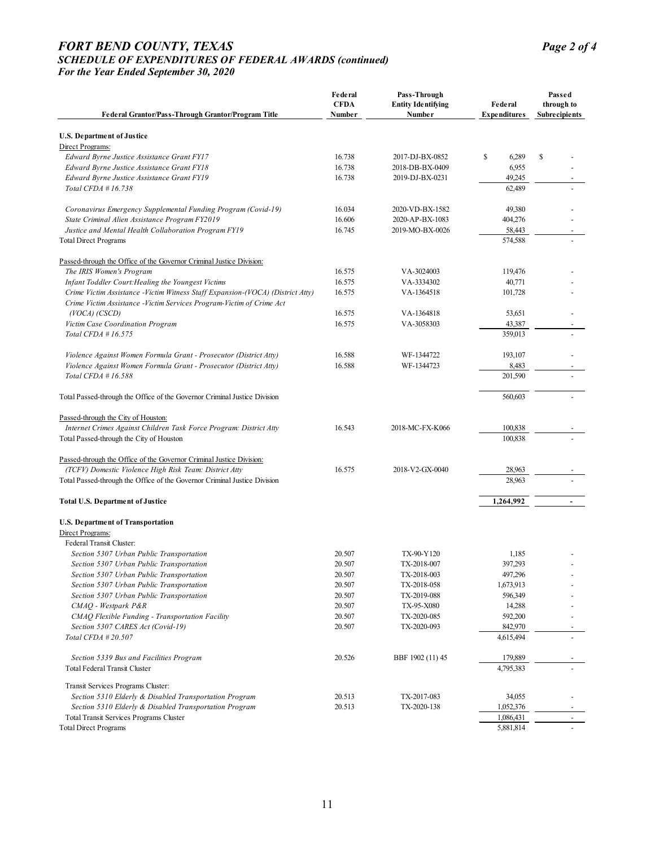# *FORT BEND COUNTY, TEXAS Page 2 of 4 SCHEDULE OF EXPENDITURES OF FEDERAL AWARDS (continued) For the Year Ended September 30, 2020*

| Federal Grantor/Pass-Through Grantor/Program Title                                                                                                     | Federal<br><b>CFDA</b><br>Number | Pass-Through<br><b>Entity Identifying</b><br>Number | Federal<br><b>Expenditures</b> | Passed<br>through to<br><b>Subrecipients</b> |
|--------------------------------------------------------------------------------------------------------------------------------------------------------|----------------------------------|-----------------------------------------------------|--------------------------------|----------------------------------------------|
| U.S. Department of Justice                                                                                                                             |                                  |                                                     |                                |                                              |
| Direct Programs:                                                                                                                                       |                                  |                                                     |                                |                                              |
| Edward Byrne Justice Assistance Grant FY17                                                                                                             | 16.738                           | 2017-DJ-BX-0852                                     | \$<br>6,289                    | \$                                           |
| Edward Byrne Justice Assistance Grant FY18                                                                                                             | 16.738                           | 2018-DB-BX-0409                                     | 6,955                          |                                              |
| Edward Byrne Justice Assistance Grant FY19                                                                                                             | 16.738                           | 2019-DJ-BX-0231                                     | 49,245                         |                                              |
| Total CFDA #16.738                                                                                                                                     |                                  |                                                     | 62,489                         |                                              |
| Coronavirus Emergency Supplemental Funding Program (Covid-19)                                                                                          | 16.034                           | 2020-VD-BX-1582                                     | 49,380                         |                                              |
| State Criminal Alien Assistance Program FY2019                                                                                                         | 16.606                           | 2020-AP-BX-1083                                     | 404,276                        |                                              |
| Justice and Mental Health Collaboration Program FY19                                                                                                   | 16.745                           | 2019-MO-BX-0026                                     | 58,443                         |                                              |
| <b>Total Direct Programs</b>                                                                                                                           |                                  |                                                     | 574,588                        |                                              |
| Passed-through the Office of the Governor Criminal Justice Division:                                                                                   |                                  |                                                     |                                |                                              |
| The IRIS Women's Program                                                                                                                               | 16.575                           | VA-3024003                                          | 119,476                        |                                              |
| Infant Toddler Court: Healing the Youngest Victims                                                                                                     | 16.575                           | VA-3334302                                          | 40,771                         |                                              |
| Crime Victim Assistance -Victim Witness Staff Expansion-(VOCA) (District Atty)<br>Crime Victim Assistance -Victim Services Program-Victim of Crime Act | 16.575                           | VA-1364518                                          | 101,728                        |                                              |
| (VOCA) (CSCD)                                                                                                                                          | 16.575                           | VA-1364818                                          | 53,651                         |                                              |
| Victim Case Coordination Program                                                                                                                       | 16.575                           | VA-3058303                                          | 43,387                         |                                              |
| Total CFDA #16.575                                                                                                                                     |                                  |                                                     | 359,013                        |                                              |
| Violence Against Women Formula Grant - Prosecutor (District Atty)                                                                                      | 16.588                           | WF-1344722                                          | 193,107                        |                                              |
| Violence Against Women Formula Grant - Prosecutor (District Atty)                                                                                      | 16.588                           | WF-1344723                                          | 8,483                          |                                              |
| Total CFDA #16.588                                                                                                                                     |                                  |                                                     | 201,590                        |                                              |
| Total Passed-through the Office of the Governor Criminal Justice Division                                                                              |                                  |                                                     | 560,603                        |                                              |
| Passed-through the City of Houston:                                                                                                                    |                                  |                                                     |                                |                                              |
| Internet Crimes Against Children Task Force Program: District Atty                                                                                     | 16.543                           | 2018-MC-FX-K066                                     | 100,838                        |                                              |
| Total Passed-through the City of Houston                                                                                                               |                                  |                                                     | 100,838                        |                                              |
| Passed-through the Office of the Governor Criminal Justice Division:                                                                                   |                                  |                                                     |                                |                                              |
| (TCFV) Domestic Violence High Risk Team: District Atty                                                                                                 | 16.575                           | 2018-V2-GX-0040                                     | 28,963                         |                                              |
| Total Passed-through the Office of the Governor Criminal Justice Division                                                                              |                                  |                                                     | 28,963                         |                                              |
| Total U.S. Department of Justice                                                                                                                       |                                  |                                                     | 1,264,992                      |                                              |
| U.S. Department of Transportation                                                                                                                      |                                  |                                                     |                                |                                              |
| Direct Programs:                                                                                                                                       |                                  |                                                     |                                |                                              |
| Federal Transit Cluster:                                                                                                                               |                                  |                                                     |                                |                                              |
| Section 5307 Urban Public Transportation                                                                                                               | 20.507                           | TX-90-Y120                                          | 1,185                          |                                              |
| Section 5307 Urban Public Transportation<br>Section 5307 Urban Public Transportation                                                                   | 20.507                           | TX-2018-007<br>TX-2018-003                          | 397,293                        |                                              |
| Section 5307 Urban Public Transportation                                                                                                               | 20.507<br>20.507                 | TX-2018-058                                         | 497,296<br>1,673,913           |                                              |
| Section 5307 Urban Public Transportation                                                                                                               | 20.507                           | TX-2019-088                                         | 596,349                        |                                              |
| CMAQ - Westpark P&R                                                                                                                                    | 20.507                           | TX-95-X080                                          | 14,288                         |                                              |
| CMAQ Flexible Funding - Transportation Facility                                                                                                        | 20.507                           | TX-2020-085                                         | 592,200                        |                                              |
| Section 5307 CARES Act (Covid-19)                                                                                                                      | 20.507                           | TX-2020-093                                         | 842,970                        |                                              |
| Total CFDA # 20.507                                                                                                                                    |                                  |                                                     | 4,615,494                      |                                              |
| Section 5339 Bus and Facilities Program                                                                                                                | 20.526                           | BBF 1902 (11) 45                                    | 179,889                        |                                              |
| Total Federal Transit Cluster                                                                                                                          |                                  |                                                     | 4,795,383                      |                                              |
| Transit Services Programs Cluster:                                                                                                                     |                                  |                                                     |                                |                                              |
| Section 5310 Elderly & Disabled Transportation Program                                                                                                 | 20.513                           | TX-2017-083                                         | 34,055                         |                                              |
| Section 5310 Elderly & Disabled Transportation Program                                                                                                 | 20.513                           | TX-2020-138                                         | 1,052,376                      |                                              |
| Total Transit Services Programs Cluster                                                                                                                |                                  |                                                     | 1,086,431                      | $\overline{\phantom{a}}$                     |
| <b>Total Direct Programs</b>                                                                                                                           |                                  |                                                     | 5,881,814                      |                                              |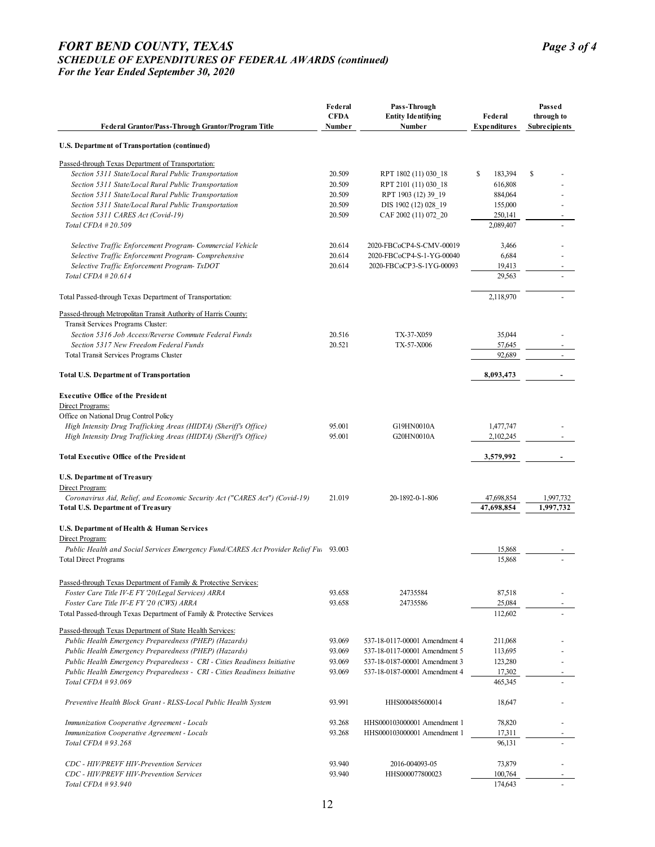# *FORT BEND COUNTY, TEXAS Page 3 of 4 SCHEDULE OF EXPENDITURES OF FEDERAL AWARDS (continued) For the Year Ended September 30, 2020*

| Federal Grantor/Pass-Through Grantor/Program Title                                   | Federal<br><b>CFDA</b><br><b>Number</b> | Pass-Through<br><b>Entity Identifying</b><br>Number | <b>Federal</b><br><b>Expenditures</b> | Passed<br>through to<br><b>Subrecipients</b> |
|--------------------------------------------------------------------------------------|-----------------------------------------|-----------------------------------------------------|---------------------------------------|----------------------------------------------|
| U.S. Department of Transportation (continued)                                        |                                         |                                                     |                                       |                                              |
| Passed-through Texas Department of Transportation:                                   |                                         |                                                     |                                       |                                              |
| Section 5311 State/Local Rural Public Transportation                                 | 20.509                                  | RPT 1802 (11) 030 18                                | \$<br>183,394                         | \$                                           |
| Section 5311 State/Local Rural Public Transportation                                 | 20.509                                  | RPT 2101 (11) 030 18                                | 616,808                               |                                              |
| Section 5311 State/Local Rural Public Transportation                                 | 20.509                                  | RPT 1903 (12) 39 19                                 | 884,064                               |                                              |
| Section 5311 State/Local Rural Public Transportation                                 | 20.509                                  | DIS 1902 (12) 028 19                                | 155,000                               |                                              |
| Section 5311 CARES Act (Covid-19)                                                    | 20.509                                  | CAF 2002 (11) 072 20                                | 250,141                               |                                              |
| Total CFDA # 20.509                                                                  |                                         |                                                     | 2,089,407                             |                                              |
| Selective Traffic Enforcement Program- Commercial Vehicle                            | 20.614                                  | 2020-FBCoCP4-S-CMV-00019                            | 3,466                                 |                                              |
| Selective Traffic Enforcement Program- Comprehensive                                 | 20.614                                  | 2020-FBCoCP4-S-1-YG-00040                           | 6,684                                 |                                              |
| Selective Traffic Enforcement Program-TxDOT                                          | 20.614                                  | 2020-FBCoCP3-S-1YG-00093                            | 19,413                                |                                              |
| Total CFDA #20.614                                                                   |                                         |                                                     | 29,563                                |                                              |
| Total Passed-through Texas Department of Transportation:                             |                                         |                                                     | 2,118,970                             |                                              |
| Passed-through Metropolitan Transit Authority of Harris County:                      |                                         |                                                     |                                       |                                              |
| Transit Services Programs Cluster:                                                   |                                         |                                                     |                                       |                                              |
| Section 5316 Job Access/Reverse Commute Federal Funds                                | 20.516                                  | TX-37-X059                                          | 35,044                                |                                              |
| Section 5317 New Freedom Federal Funds                                               | 20.521                                  | TX-57-X006                                          | 57,645                                |                                              |
| Total Transit Services Programs Cluster                                              |                                         |                                                     | 92,689                                |                                              |
| <b>Total U.S. Department of Transportation</b>                                       |                                         |                                                     | 8,093,473                             |                                              |
| <b>Executive Office of the President</b>                                             |                                         |                                                     |                                       |                                              |
| Direct Programs:                                                                     |                                         |                                                     |                                       |                                              |
| Office on National Drug Control Policy                                               |                                         |                                                     |                                       |                                              |
| High Intensity Drug Trafficking Areas (HIDTA) (Sheriff's Office)                     | 95.001                                  | G19HN0010A                                          | 1,477,747                             |                                              |
| High Intensity Drug Trafficking Areas (HIDTA) (Sheriff's Office)                     | 95.001                                  | G20HN0010A                                          | 2,102,245                             |                                              |
| <b>Total Executive Office of the President</b>                                       |                                         |                                                     | 3,579,992                             |                                              |
| U.S. Department of Treasury                                                          |                                         |                                                     |                                       |                                              |
| Direct Program:                                                                      |                                         |                                                     |                                       |                                              |
| Coronavirus Aid, Relief, and Economic Security Act ("CARES Act") (Covid-19)          | 21.019                                  | 20-1892-0-1-806                                     | 47,698,854                            | 1,997,732                                    |
| <b>Total U.S. Department of Treasury</b>                                             |                                         |                                                     | 47,698,854                            | 1,997,732                                    |
| U.S. Department of Health & Human Services                                           |                                         |                                                     |                                       |                                              |
| Direct Program:                                                                      |                                         |                                                     |                                       |                                              |
| Public Health and Social Services Emergency Fund/CARES Act Provider Relief Fu 93.003 |                                         |                                                     | 15,868                                |                                              |
| <b>Total Direct Programs</b>                                                         |                                         |                                                     | 15,868                                |                                              |
| Passed-through Texas Department of Family & Protective Services:                     |                                         |                                                     |                                       |                                              |
| Foster Care Title IV-E FY '20(Legal Services) ARRA                                   | 93.658                                  | 24735584                                            | 87,518                                |                                              |
| Foster Care Title IV-E FY '20 (CWS) ARRA                                             | 93.658                                  | 24735586                                            | 25,084                                |                                              |
| Total Passed-through Texas Department of Family & Protective Services                |                                         |                                                     | 112,602                               |                                              |
| Passed-through Texas Department of State Health Services:                            |                                         |                                                     |                                       |                                              |
| Public Health Emergency Preparedness (PHEP) (Hazards)                                | 93.069                                  | 537-18-0117-00001 Amendment 4                       | 211,068                               |                                              |
| Public Health Emergency Preparedness (PHEP) (Hazards)                                | 93.069                                  | 537-18-0117-00001 Amendment 5                       | 113,695                               |                                              |
| Public Health Emergency Preparedness - CRI - Cities Readiness Initiative             | 93.069                                  | 537-18-0187-00001 Amendment 3                       | 123,280                               |                                              |
| Public Health Emergency Preparedness - CRI - Cities Readiness Initiative             | 93.069                                  | 537-18-0187-00001 Amendment 4                       | 17,302                                |                                              |
| Total CFDA #93.069                                                                   |                                         |                                                     | 465,345                               |                                              |
| Preventive Health Block Grant - RLSS-Local Public Health System                      | 93.991                                  | HHS000485600014                                     | 18,647                                |                                              |
| Immunization Cooperative Agreement - Locals                                          | 93.268                                  | HHS000103000001 Amendment 1                         | 78,820                                |                                              |
| Immunization Cooperative Agreement - Locals                                          | 93.268                                  | HHS000103000001 Amendment 1                         | 17,311                                |                                              |
| Total CFDA #93.268                                                                   |                                         |                                                     | 96,131                                |                                              |
| CDC - HIV/PREVF HIV-Prevention Services                                              | 93.940                                  | 2016-004093-05                                      | 73,879                                |                                              |
| CDC - HIV/PREVF HIV-Prevention Services                                              | 93.940                                  | HHS000077800023                                     | 100,764                               |                                              |
| Total CFDA #93.940                                                                   |                                         |                                                     | 174,643                               |                                              |

12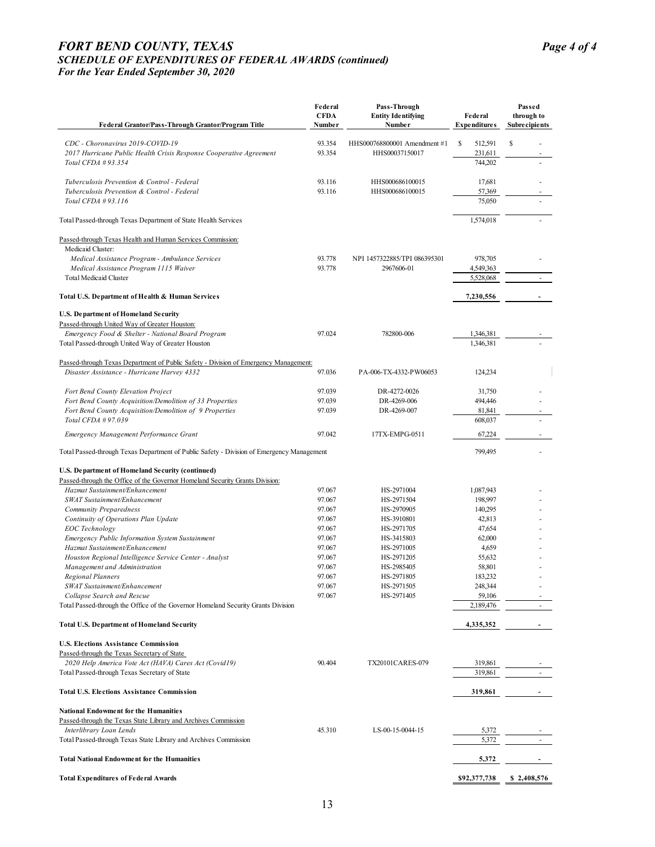#### *FORT BEND COUNTY, TEXAS Page 4 of 4 SCHEDULE OF EXPENDITURES OF FEDERAL AWARDS (continued) For the Year Ended September 30, 2020*

| Federal Grantor/Pass-Through Grantor/Program Title                                                                               | Federal<br><b>CFDA</b><br>Number | Pass-Through<br><b>Entity Identifying</b><br>Number | Federal<br><b>Expenditures</b> | Passed<br>through to<br>Subre cipie nts |
|----------------------------------------------------------------------------------------------------------------------------------|----------------------------------|-----------------------------------------------------|--------------------------------|-----------------------------------------|
|                                                                                                                                  |                                  |                                                     |                                |                                         |
| CDC - Choronavirus 2019-COVID-19                                                                                                 | 93.354                           | HHS000768800001 Amendment #1                        | S<br>512,591                   | \$                                      |
| 2017 Hurricane Public Health Crisis Response Cooperative Agreement<br>Total CFDA #93.354                                         | 93.354                           | HHS00037150017                                      | 231,611<br>744,202             |                                         |
| Tuberculosis Prevention & Control - Federal                                                                                      | 93.116                           | HHS000686100015                                     | 17,681                         |                                         |
| Tuberculosis Prevention & Control - Federal                                                                                      | 93.116                           | HHS000686100015                                     | 57,369                         |                                         |
| Total CFDA #93.116                                                                                                               |                                  |                                                     | 75,050                         |                                         |
| Total Passed-through Texas Department of State Health Services                                                                   |                                  |                                                     | 1,574,018                      |                                         |
| Passed-through Texas Health and Human Services Commission:                                                                       |                                  |                                                     |                                |                                         |
| Medicaid Cluster:                                                                                                                |                                  |                                                     |                                |                                         |
| Medical Assistance Program - Ambulance Services                                                                                  | 93.778                           | NPI 1457322885/TPI 086395301                        | 978,705                        |                                         |
| Medical Assistance Program 1115 Waiver                                                                                           | 93.778                           | 2967606-01                                          | 4,549,363                      |                                         |
| <b>Total Medicaid Cluster</b>                                                                                                    |                                  |                                                     | 5,528,068                      | $\sim$                                  |
| Total U.S. Department of Health & Human Services                                                                                 |                                  |                                                     | 7,230,556                      |                                         |
| U.S. Department of Homeland Security                                                                                             |                                  |                                                     |                                |                                         |
| Passed-through United Way of Greater Houston:                                                                                    |                                  |                                                     |                                |                                         |
| Emergency Food & Shelter - National Board Program                                                                                | 97.024                           | 782800-006                                          | 1,346,381                      |                                         |
| Total Passed-through United Way of Greater Houston                                                                               |                                  |                                                     | 1,346,381                      |                                         |
| Passed-through Texas Department of Public Safety - Division of Emergency Management:                                             |                                  |                                                     |                                |                                         |
| Disaster Assistance - Hurricane Harvey 4332                                                                                      | 97.036                           | PA-006-TX-4332-PW06053                              | 124,234                        |                                         |
| Fort Bend County Elevation Project                                                                                               | 97.039                           | DR-4272-0026                                        | 31,750                         |                                         |
| Fort Bend County Acquisition/Demolition of 33 Properties                                                                         | 97.039                           | DR-4269-006                                         | 494,446                        |                                         |
| Fort Bend County Acquisition/Demolition of 9 Properties                                                                          | 97.039                           | DR-4269-007                                         | 81,841                         |                                         |
| Total CFDA #97.039                                                                                                               |                                  |                                                     | 608,037                        |                                         |
| Emergency Management Performance Grant                                                                                           | 97.042                           | 17TX-EMPG-0511                                      | 67,224                         |                                         |
| Total Passed-through Texas Department of Public Safety - Division of Emergency Management                                        |                                  |                                                     | 799,495                        |                                         |
|                                                                                                                                  |                                  |                                                     |                                |                                         |
| U.S. Department of Homeland Security (continued)<br>Passed-through the Office of the Governor Homeland Security Grants Division: |                                  |                                                     |                                |                                         |
| Hazmat Sustainment/Enhancement                                                                                                   | 97.067                           | HS-2971004                                          | 1,087,943                      |                                         |
| SWAT Sustainment/Enhancement                                                                                                     | 97.067                           | HS-2971504                                          | 198,997                        |                                         |
| <b>Community Preparedness</b>                                                                                                    | 97.067                           | HS-2970905                                          | 140,295                        |                                         |
| Continuity of Operations Plan Update                                                                                             | 97.067                           | HS-3910801                                          | 42,813                         |                                         |
| <b>EOC</b> Technology                                                                                                            | 97.067                           | HS-2971705                                          | 47,654                         |                                         |
| <b>Emergency Public Information System Sustainment</b>                                                                           | 97.067                           | HS-3415803                                          | 62,000                         |                                         |
| Hazmat Sustainment/Enhancement                                                                                                   | 97.067                           | HS-2971005                                          | 4,659                          |                                         |
| Houston Regional Intelligence Service Center - Analyst                                                                           | 97.067                           | HS-2971205                                          | 55,632                         |                                         |
| Management and Administration                                                                                                    | 97.067                           | HS-2985405                                          | 58,801                         |                                         |
| Regional Planners                                                                                                                | 97.067                           | HS-2971805                                          | 183,232                        |                                         |
| SWAT Sustainment/Enhancement                                                                                                     | 97.067                           | HS-2971505                                          | 248,344                        |                                         |
| Collapse Search and Rescue                                                                                                       | 97.067                           | HS-2971405                                          | 59,106                         |                                         |
| Total Passed-through the Office of the Governor Homeland Security Grants Division                                                |                                  |                                                     | 2,189,476                      |                                         |
| <b>Total U.S. Department of Homeland Security</b>                                                                                |                                  |                                                     | 4,335,352                      |                                         |
| <b>U.S. Elections Assistance Commission</b>                                                                                      |                                  |                                                     |                                |                                         |
| Passed-through the Texas Secretary of State                                                                                      |                                  |                                                     |                                |                                         |
| 2020 Help America Vote Act (HAVA) Cares Act (Covid19)                                                                            | 90.404                           | TX20101CARES-079                                    | 319,861                        |                                         |
| Total Passed-through Texas Secretary of State                                                                                    |                                  |                                                     | 319,861                        |                                         |
| <b>Total U.S. Elections Assistance Commission</b>                                                                                |                                  |                                                     | 319,861                        |                                         |
| <b>National Endowment for the Humanities</b>                                                                                     |                                  |                                                     |                                |                                         |
| Passed-through the Texas State Library and Archives Commission                                                                   |                                  |                                                     |                                |                                         |
| Interlibrary Loan Lends                                                                                                          | 45.310                           | LS-00-15-0044-15                                    | 5,372                          |                                         |
| Total Passed-through Texas State Library and Archives Commission                                                                 |                                  |                                                     | 5,372                          |                                         |
| <b>Total National Endowment for the Humanities</b>                                                                               |                                  |                                                     | 5,372                          | $\sim$                                  |
|                                                                                                                                  |                                  |                                                     |                                |                                         |
| <b>Total Expenditures of Federal Awards</b>                                                                                      |                                  |                                                     | \$92,377,738                   | \$2,408,576                             |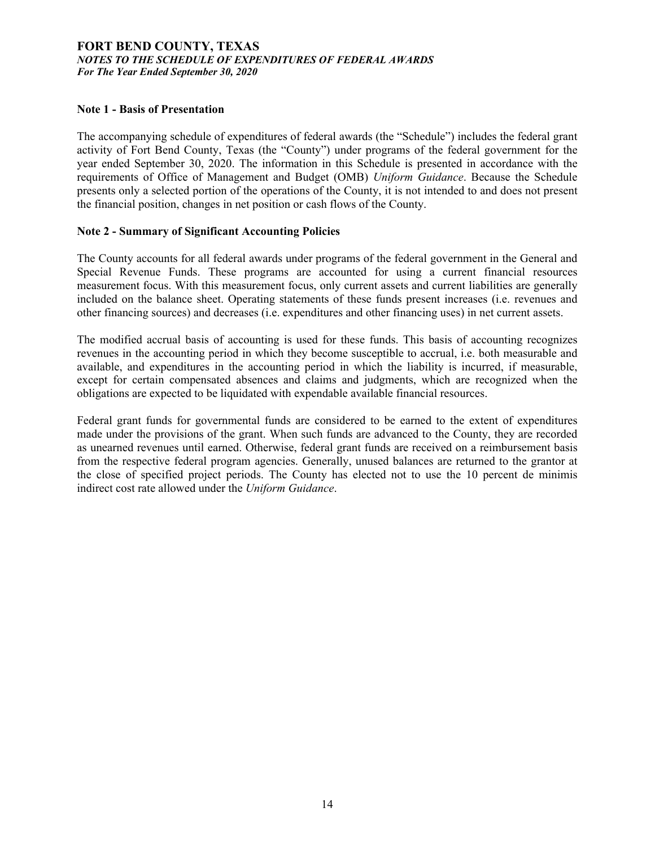# **FORT BEND COUNTY, TEXAS**  *NOTES TO THE SCHEDULE OF EXPENDITURES OF FEDERAL AWARDS For The Year Ended September 30, 2020*

# **Note 1 - Basis of Presentation**

The accompanying schedule of expenditures of federal awards (the "Schedule") includes the federal grant activity of Fort Bend County, Texas (the "County") under programs of the federal government for the year ended September 30, 2020. The information in this Schedule is presented in accordance with the requirements of Office of Management and Budget (OMB) *Uniform Guidance*. Because the Schedule presents only a selected portion of the operations of the County, it is not intended to and does not present the financial position, changes in net position or cash flows of the County.

# **Note 2 - Summary of Significant Accounting Policies**

The County accounts for all federal awards under programs of the federal government in the General and Special Revenue Funds. These programs are accounted for using a current financial resources measurement focus. With this measurement focus, only current assets and current liabilities are generally included on the balance sheet. Operating statements of these funds present increases (i.e. revenues and other financing sources) and decreases (i.e. expenditures and other financing uses) in net current assets.

The modified accrual basis of accounting is used for these funds. This basis of accounting recognizes revenues in the accounting period in which they become susceptible to accrual, i.e. both measurable and available, and expenditures in the accounting period in which the liability is incurred, if measurable, except for certain compensated absences and claims and judgments, which are recognized when the obligations are expected to be liquidated with expendable available financial resources.

Federal grant funds for governmental funds are considered to be earned to the extent of expenditures made under the provisions of the grant. When such funds are advanced to the County, they are recorded as unearned revenues until earned. Otherwise, federal grant funds are received on a reimbursement basis from the respective federal program agencies. Generally, unused balances are returned to the grantor at the close of specified project periods. The County has elected not to use the 10 percent de minimis indirect cost rate allowed under the *Uniform Guidance*.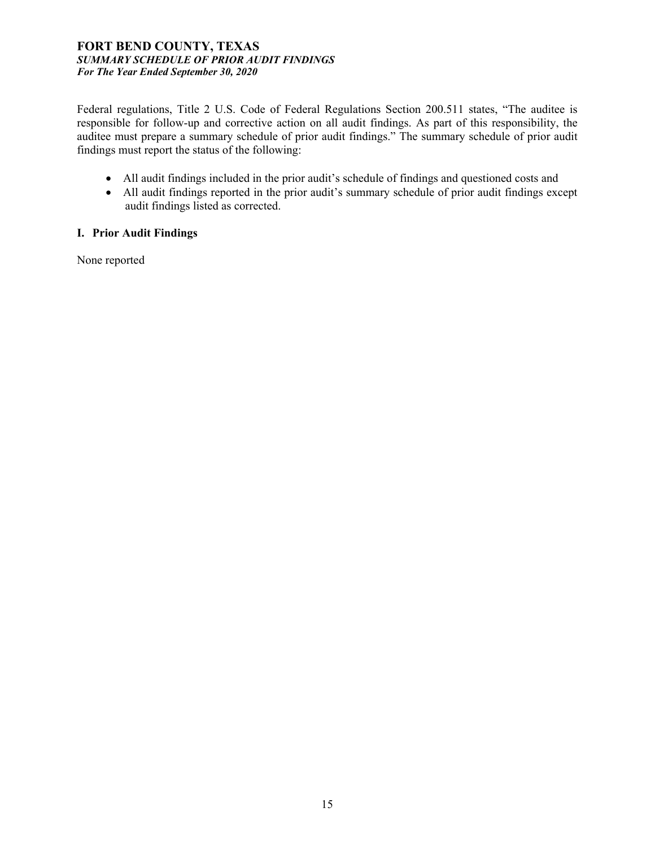#### **FORT BEND COUNTY, TEXAS**  *SUMMARY SCHEDULE OF PRIOR AUDIT FINDINGS For The Year Ended September 30, 2020*

Federal regulations, Title 2 U.S. Code of Federal Regulations Section 200.511 states, "The auditee is responsible for follow-up and corrective action on all audit findings. As part of this responsibility, the auditee must prepare a summary schedule of prior audit findings." The summary schedule of prior audit findings must report the status of the following:

- All audit findings included in the prior audit's schedule of findings and questioned costs and
- All audit findings reported in the prior audit's summary schedule of prior audit findings except audit findings listed as corrected.

# **I. Prior Audit Findings**

None reported